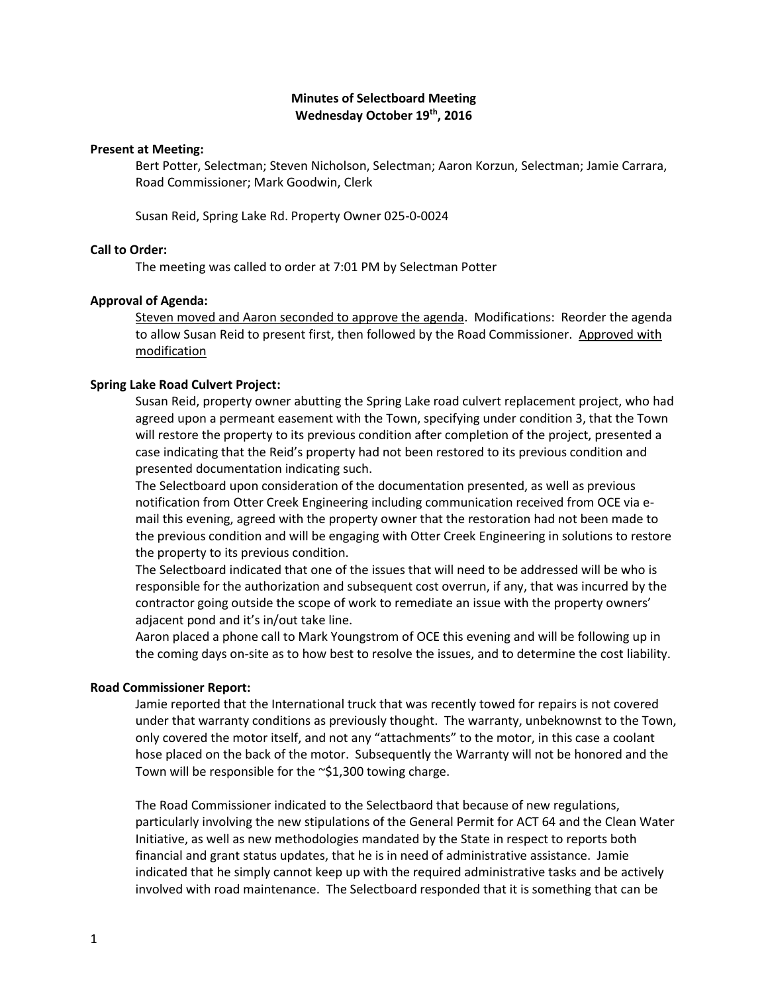# **Minutes of Selectboard Meeting Wednesday October 19th, 2016**

### **Present at Meeting:**

Bert Potter, Selectman; Steven Nicholson, Selectman; Aaron Korzun, Selectman; Jamie Carrara, Road Commissioner; Mark Goodwin, Clerk

Susan Reid, Spring Lake Rd. Property Owner 025-0-0024

## **Call to Order:**

The meeting was called to order at 7:01 PM by Selectman Potter

### **Approval of Agenda:**

Steven moved and Aaron seconded to approve the agenda. Modifications: Reorder the agenda to allow Susan Reid to present first, then followed by the Road Commissioner. Approved with modification

### **Spring Lake Road Culvert Project:**

Susan Reid, property owner abutting the Spring Lake road culvert replacement project, who had agreed upon a permeant easement with the Town, specifying under condition 3, that the Town will restore the property to its previous condition after completion of the project, presented a case indicating that the Reid's property had not been restored to its previous condition and presented documentation indicating such.

The Selectboard upon consideration of the documentation presented, as well as previous notification from Otter Creek Engineering including communication received from OCE via email this evening, agreed with the property owner that the restoration had not been made to the previous condition and will be engaging with Otter Creek Engineering in solutions to restore the property to its previous condition.

The Selectboard indicated that one of the issues that will need to be addressed will be who is responsible for the authorization and subsequent cost overrun, if any, that was incurred by the contractor going outside the scope of work to remediate an issue with the property owners' adjacent pond and it's in/out take line.

Aaron placed a phone call to Mark Youngstrom of OCE this evening and will be following up in the coming days on-site as to how best to resolve the issues, and to determine the cost liability.

### **Road Commissioner Report:**

Jamie reported that the International truck that was recently towed for repairs is not covered under that warranty conditions as previously thought. The warranty, unbeknownst to the Town, only covered the motor itself, and not any "attachments" to the motor, in this case a coolant hose placed on the back of the motor. Subsequently the Warranty will not be honored and the Town will be responsible for the ~\$1,300 towing charge.

The Road Commissioner indicated to the Selectbaord that because of new regulations, particularly involving the new stipulations of the General Permit for ACT 64 and the Clean Water Initiative, as well as new methodologies mandated by the State in respect to reports both financial and grant status updates, that he is in need of administrative assistance. Jamie indicated that he simply cannot keep up with the required administrative tasks and be actively involved with road maintenance. The Selectboard responded that it is something that can be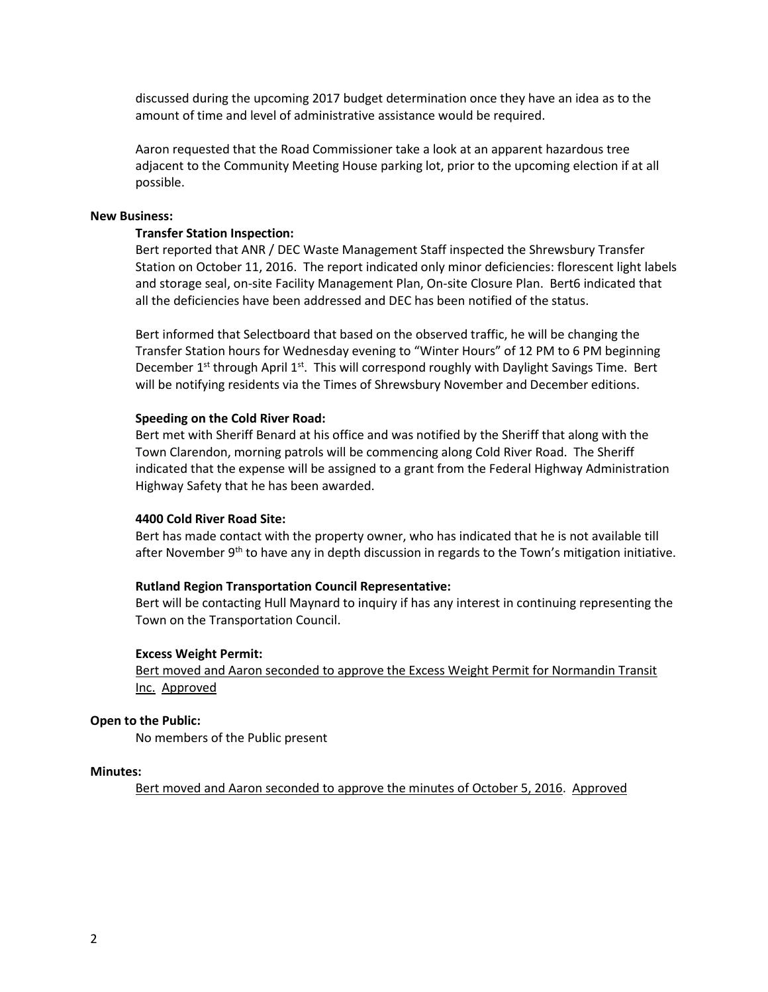discussed during the upcoming 2017 budget determination once they have an idea as to the amount of time and level of administrative assistance would be required.

Aaron requested that the Road Commissioner take a look at an apparent hazardous tree adjacent to the Community Meeting House parking lot, prior to the upcoming election if at all possible.

### **New Business:**

### **Transfer Station Inspection:**

Bert reported that ANR / DEC Waste Management Staff inspected the Shrewsbury Transfer Station on October 11, 2016. The report indicated only minor deficiencies: florescent light labels and storage seal, on-site Facility Management Plan, On-site Closure Plan. Bert6 indicated that all the deficiencies have been addressed and DEC has been notified of the status.

Bert informed that Selectboard that based on the observed traffic, he will be changing the Transfer Station hours for Wednesday evening to "Winter Hours" of 12 PM to 6 PM beginning December  $1<sup>st</sup>$  through April  $1<sup>st</sup>$ . This will correspond roughly with Daylight Savings Time. Bert will be notifying residents via the Times of Shrewsbury November and December editions.

#### **Speeding on the Cold River Road:**

Bert met with Sheriff Benard at his office and was notified by the Sheriff that along with the Town Clarendon, morning patrols will be commencing along Cold River Road. The Sheriff indicated that the expense will be assigned to a grant from the Federal Highway Administration Highway Safety that he has been awarded.

### **4400 Cold River Road Site:**

Bert has made contact with the property owner, who has indicated that he is not available till after November  $9<sup>th</sup>$  to have any in depth discussion in regards to the Town's mitigation initiative.

### **Rutland Region Transportation Council Representative:**

Bert will be contacting Hull Maynard to inquiry if has any interest in continuing representing the Town on the Transportation Council.

### **Excess Weight Permit:**

Bert moved and Aaron seconded to approve the Excess Weight Permit for Normandin Transit Inc. Approved

#### **Open to the Public:**

No members of the Public present

### **Minutes:**

Bert moved and Aaron seconded to approve the minutes of October 5, 2016. Approved